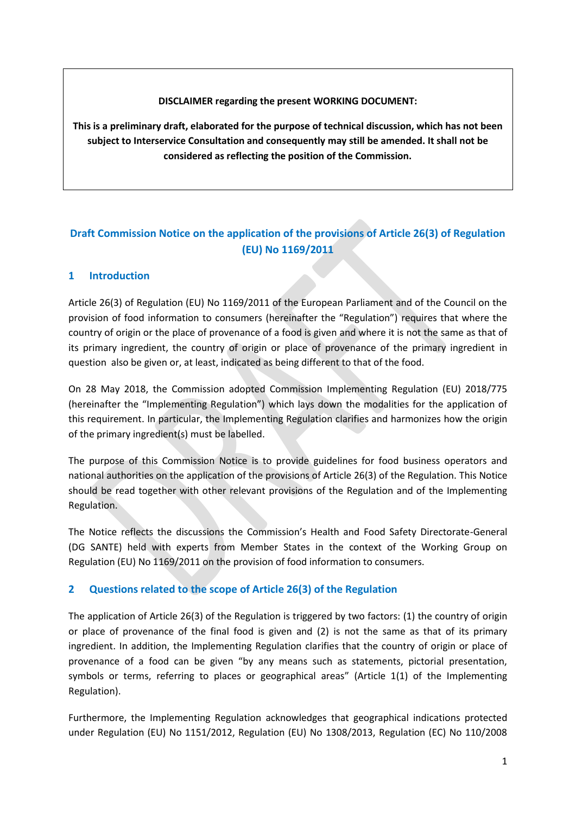**DISCLAIMER regarding the present WORKING DOCUMENT:**

**This is a preliminary draft, elaborated for the purpose of technical discussion, which has not been subject to Interservice Consultation and consequently may still be amended. It shall not be considered as reflecting the position of the Commission.**

# **Draft Commission Notice on the application of the provisions of Article 26(3) of Regulation (EU) No 1169/2011**

## **1 Introduction**

Article 26(3) of Regulation (EU) No 1169/2011 of the European Parliament and of the Council on the provision of food information to consumers (hereinafter the "Regulation") requires that where the country of origin or the place of provenance of a food is given and where it is not the same as that of its primary ingredient, the country of origin or place of provenance of the primary ingredient in question also be given or, at least, indicated as being different to that of the food.

On 28 May 2018, the Commission adopted Commission Implementing Regulation (EU) 2018/775 (hereinafter the "Implementing Regulation") which lays down the modalities for the application of this requirement. In particular, the Implementing Regulation clarifies and harmonizes how the origin of the primary ingredient(s) must be labelled.

The purpose of this Commission Notice is to provide guidelines for food business operators and national authorities on the application of the provisions of Article 26(3) of the Regulation. This Notice should be read together with other relevant provisions of the Regulation and of the Implementing Regulation.

The Notice reflects the discussions the Commission's Health and Food Safety Directorate-General (DG SANTE) held with experts from Member States in the context of the Working Group on Regulation (EU) No 1169/2011 on the provision of food information to consumers.

## **2 Questions related to the scope of Article 26(3) of the Regulation**

The application of Article 26(3) of the Regulation is triggered by two factors: (1) the country of origin or place of provenance of the final food is given and (2) is not the same as that of its primary ingredient. In addition, the Implementing Regulation clarifies that the country of origin or place of provenance of a food can be given "by any means such as statements, pictorial presentation, symbols or terms, referring to places or geographical areas" (Article 1(1) of the Implementing Regulation).

Furthermore, the Implementing Regulation acknowledges that geographical indications protected under Regulation (EU) No 1151/2012, Regulation (EU) No 1308/2013, Regulation (EC) No 110/2008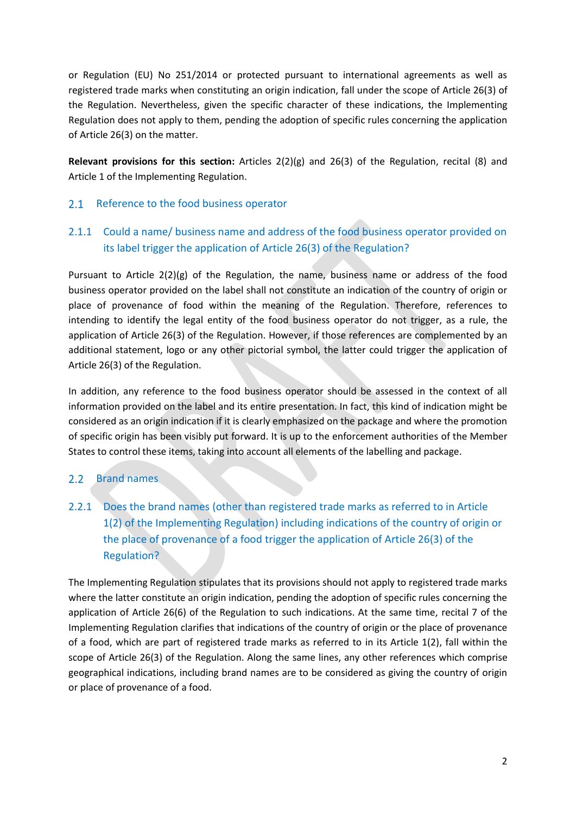or Regulation (EU) No 251/2014 or protected pursuant to international agreements as well as registered trade marks when constituting an origin indication, fall under the scope of Article 26(3) of the Regulation. Nevertheless, given the specific character of these indications, the Implementing Regulation does not apply to them, pending the adoption of specific rules concerning the application of Article 26(3) on the matter.

**Relevant provisions for this section:** Articles 2(2)(g) and 26(3) of the Regulation, recital (8) and Article 1 of the Implementing Regulation.

#### Reference to the food business operator  $2.1$

## 2.1.1 Could a name/ business name and address of the food business operator provided on its label trigger the application of Article 26(3) of the Regulation?

Pursuant to Article 2(2)(g) of the Regulation, the name, business name or address of the food business operator provided on the label shall not constitute an indication of the country of origin or place of provenance of food within the meaning of the Regulation. Therefore, references to intending to identify the legal entity of the food business operator do not trigger, as a rule, the application of Article 26(3) of the Regulation. However, if those references are complemented by an additional statement, logo or any other pictorial symbol, the latter could trigger the application of Article 26(3) of the Regulation.

In addition, any reference to the food business operator should be assessed in the context of all information provided on the label and its entire presentation. In fact, this kind of indication might be considered as an origin indication if it is clearly emphasized on the package and where the promotion of specific origin has been visibly put forward. It is up to the enforcement authorities of the Member States to control these items, taking into account all elements of the labelling and package.

#### $2.2$ Brand names

2.2.1 Does the brand names (other than registered trade marks as referred to in Article 1(2) of the Implementing Regulation) including indications of the country of origin or the place of provenance of a food trigger the application of Article 26(3) of the Regulation?

The Implementing Regulation stipulates that its provisions should not apply to registered trade marks where the latter constitute an origin indication, pending the adoption of specific rules concerning the application of Article 26(6) of the Regulation to such indications. At the same time, recital 7 of the Implementing Regulation clarifies that indications of the country of origin or the place of provenance of a food, which are part of registered trade marks as referred to in its Article 1(2), fall within the scope of Article 26(3) of the Regulation. Along the same lines, any other references which comprise geographical indications, including brand names are to be considered as giving the country of origin or place of provenance of a food.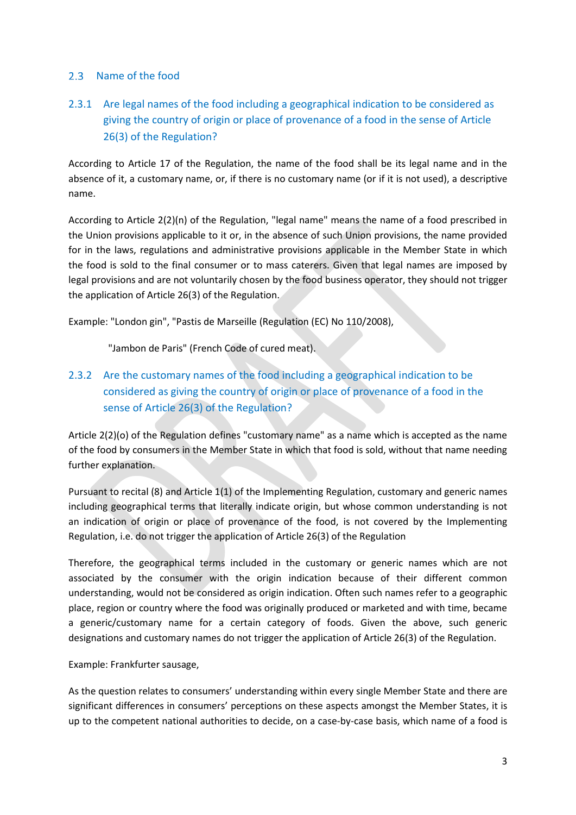## 2.3 Name of the food

# 2.3.1 Are legal names of the food including a geographical indication to be considered as giving the country of origin or place of provenance of a food in the sense of Article 26(3) of the Regulation?

According to Article 17 of the Regulation, the name of the food shall be its legal name and in the absence of it, a customary name, or, if there is no customary name (or if it is not used), a descriptive name.

According to Article 2(2)(n) of the Regulation, "legal name" means the name of a food prescribed in the Union provisions applicable to it or, in the absence of such Union provisions, the name provided for in the laws, regulations and administrative provisions applicable in the Member State in which the food is sold to the final consumer or to mass caterers. Given that legal names are imposed by legal provisions and are not voluntarily chosen by the food business operator, they should not trigger the application of Article 26(3) of the Regulation.

Example: "London gin", "Pastis de Marseille (Regulation (EC) No 110/2008),

"Jambon de Paris" (French Code of cured meat).

# 2.3.2 Are the customary names of the food including a geographical indication to be considered as giving the country of origin or place of provenance of a food in the sense of Article 26(3) of the Regulation?

Article 2(2)(o) of the Regulation defines "customary name" as a name which is accepted as the name of the food by consumers in the Member State in which that food is sold, without that name needing further explanation.

Pursuant to recital (8) and Article 1(1) of the Implementing Regulation, customary and generic names including geographical terms that literally indicate origin, but whose common understanding is not an indication of origin or place of provenance of the food, is not covered by the Implementing Regulation, i.e. do not trigger the application of Article 26(3) of the Regulation

Therefore, the geographical terms included in the customary or generic names which are not associated by the consumer with the origin indication because of their different common understanding, would not be considered as origin indication. Often such names refer to a geographic place, region or country where the food was originally produced or marketed and with time, became a generic/customary name for a certain category of foods. Given the above, such generic designations and customary names do not trigger the application of Article 26(3) of the Regulation.

Example: Frankfurter sausage,

As the question relates to consumers' understanding within every single Member State and there are significant differences in consumers' perceptions on these aspects amongst the Member States, it is up to the competent national authorities to decide, on a case-by-case basis, which name of a food is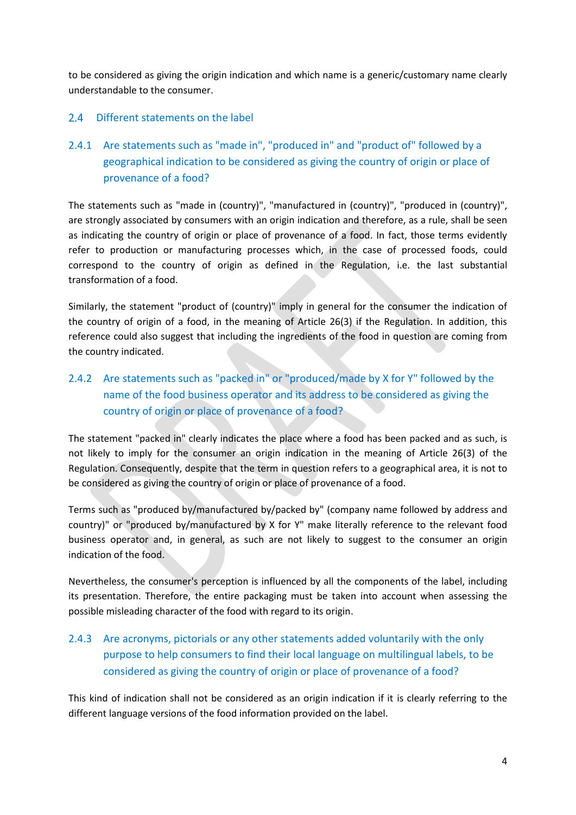to be considered as giving the origin indication and which name is a generic/customary name clearly understandable to the consumer.

## 2.4 Different statements on the label

2.4.1 Are statements such as "made in", "produced in" and "product of" followed by a geographical indication to be considered as giving the country of origin or place of provenance of a food?

The statements such as "made in (country)", "manufactured in (country)", "produced in (country)", are strongly associated by consumers with an origin indication and therefore, as a rule, shall be seen as indicating the country of origin or place of provenance of a food. In fact, those terms evidently refer to production or manufacturing processes which, in the case of processed foods, could correspond to the country of origin as defined in the Regulation, i.e. the last substantial transformation of a food.

Similarly, the statement "product of (country)" imply in general for the consumer the indication of the country of origin of a food, in the meaning of Article 26(3) if the Regulation. In addition, this reference could also suggest that including the ingredients of the food in question are coming from the country indicated.

2.4.2 Are statements such as "packed in" or "produced/made by X for Y" followed by the name of the food business operator and its address to be considered as giving the country of origin or place of provenance of a food?

The statement "packed in" clearly indicates the place where a food has been packed and as such, is not likely to imply for the consumer an origin indication in the meaning of Article 26(3) of the Regulation. Consequently, despite that the term in question refers to a geographical area, it is not to be considered as giving the country of origin or place of provenance of a food.

Terms such as "produced by/manufactured by/packed by" (company name followed by address and country)" or "produced by/manufactured by X for Y" make literally reference to the relevant food business operator and, in general, as such are not likely to suggest to the consumer an origin indication of the food.

Nevertheless, the consumer's perception is influenced by all the components of the label, including its presentation. Therefore, the entire packaging must be taken into account when assessing the possible misleading character of the food with regard to its origin.

# 2.4.3 Are acronyms, pictorials or any other statements added voluntarily with the only purpose to help consumers to find their local language on multilingual labels, to be considered as giving the country of origin or place of provenance of a food?

This kind of indication shall not be considered as an origin indication if it is clearly referring to the different language versions of the food information provided on the label.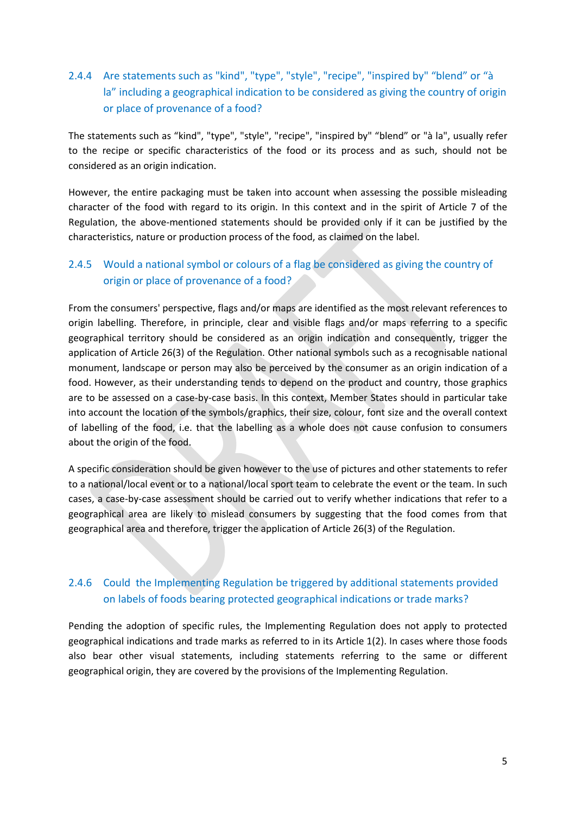## 2.4.4 Are statements such as "kind", "type", "style", "recipe", "inspired by" "blend" or "à la" including a geographical indication to be considered as giving the country of origin or place of provenance of a food?

The statements such as "kind", "type", "style", "recipe", "inspired by" "blend" or "à la", usually refer to the recipe or specific characteristics of the food or its process and as such, should not be considered as an origin indication.

However, the entire packaging must be taken into account when assessing the possible misleading character of the food with regard to its origin. In this context and in the spirit of Article 7 of the Regulation, the above-mentioned statements should be provided only if it can be justified by the characteristics, nature or production process of the food, as claimed on the label.

## 2.4.5 Would a national symbol or colours of a flag be considered as giving the country of origin or place of provenance of a food?

From the consumers' perspective, flags and/or maps are identified as the most relevant references to origin labelling. Therefore, in principle, clear and visible flags and/or maps referring to a specific geographical territory should be considered as an origin indication and consequently, trigger the application of Article 26(3) of the Regulation. Other national symbols such as a recognisable national monument, landscape or person may also be perceived by the consumer as an origin indication of a food. However, as their understanding tends to depend on the product and country, those graphics are to be assessed on a case-by-case basis. In this context, Member States should in particular take into account the location of the symbols/graphics, their size, colour, font size and the overall context of labelling of the food, i.e. that the labelling as a whole does not cause confusion to consumers about the origin of the food.

A specific consideration should be given however to the use of pictures and other statements to refer to a national/local event or to a national/local sport team to celebrate the event or the team. In such cases, a case-by-case assessment should be carried out to verify whether indications that refer to a geographical area are likely to mislead consumers by suggesting that the food comes from that geographical area and therefore, trigger the application of Article 26(3) of the Regulation.

## 2.4.6 Could the Implementing Regulation be triggered by additional statements provided on labels of foods bearing protected geographical indications or trade marks?

Pending the adoption of specific rules, the Implementing Regulation does not apply to protected geographical indications and trade marks as referred to in its Article 1(2). In cases where those foods also bear other visual statements, including statements referring to the same or different geographical origin, they are covered by the provisions of the Implementing Regulation.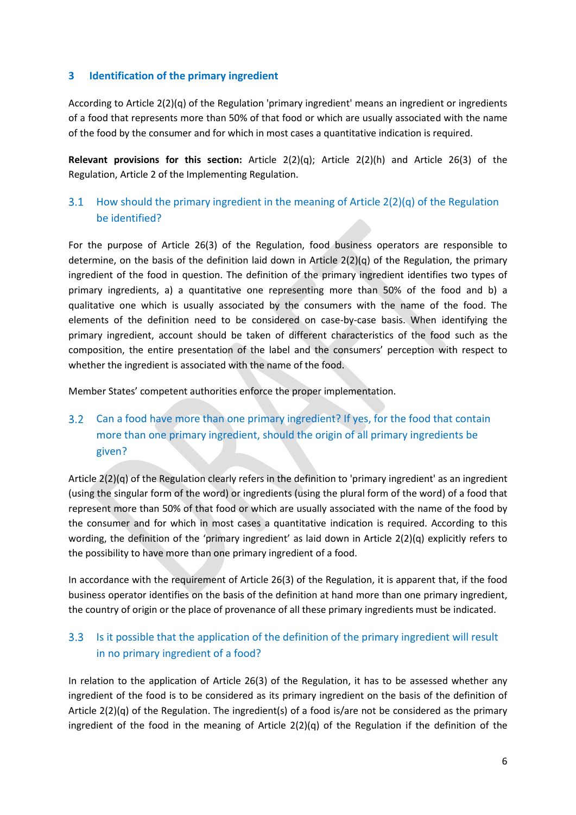### **3 Identification of the primary ingredient**

According to Article 2(2)(q) of the Regulation 'primary ingredient' means an ingredient or ingredients of a food that represents more than 50% of that food or which are usually associated with the name of the food by the consumer and for which in most cases a quantitative indication is required.

**Relevant provisions for this section:** Article 2(2)(q); Article 2(2)(h) and Article 26(3) of the Regulation, Article 2 of the Implementing Regulation.

#### How should the primary ingredient in the meaning of Article 2(2)(q) of the Regulation  $3.1$ be identified?

For the purpose of Article 26(3) of the Regulation, food business operators are responsible to determine, on the basis of the definition laid down in Article  $2(2)(q)$  of the Regulation, the primary ingredient of the food in question. The definition of the primary ingredient identifies two types of primary ingredients, a) a quantitative one representing more than 50% of the food and b) a qualitative one which is usually associated by the consumers with the name of the food. The elements of the definition need to be considered on case-by-case basis. When identifying the primary ingredient, account should be taken of different characteristics of the food such as the composition, the entire presentation of the label and the consumers' perception with respect to whether the ingredient is associated with the name of the food.

Member States' competent authorities enforce the proper implementation.

# Can a food have more than one primary ingredient? If yes, for the food that contain more than one primary ingredient, should the origin of all primary ingredients be given?

Article  $2(2)(q)$  of the Regulation clearly refers in the definition to 'primary ingredient' as an ingredient (using the singular form of the word) or ingredients (using the plural form of the word) of a food that represent more than 50% of that food or which are usually associated with the name of the food by the consumer and for which in most cases a quantitative indication is required. According to this wording, the definition of the 'primary ingredient' as laid down in Article 2(2)(q) explicitly refers to the possibility to have more than one primary ingredient of a food.

In accordance with the requirement of Article 26(3) of the Regulation, it is apparent that, if the food business operator identifies on the basis of the definition at hand more than one primary ingredient, the country of origin or the place of provenance of all these primary ingredients must be indicated.

#### Is it possible that the application of the definition of the primary ingredient will result  $3.3<sub>2</sub>$ in no primary ingredient of a food?

In relation to the application of Article 26(3) of the Regulation, it has to be assessed whether any ingredient of the food is to be considered as its primary ingredient on the basis of the definition of Article 2(2)(q) of the Regulation. The ingredient(s) of a food is/are not be considered as the primary ingredient of the food in the meaning of Article 2(2)(q) of the Regulation if the definition of the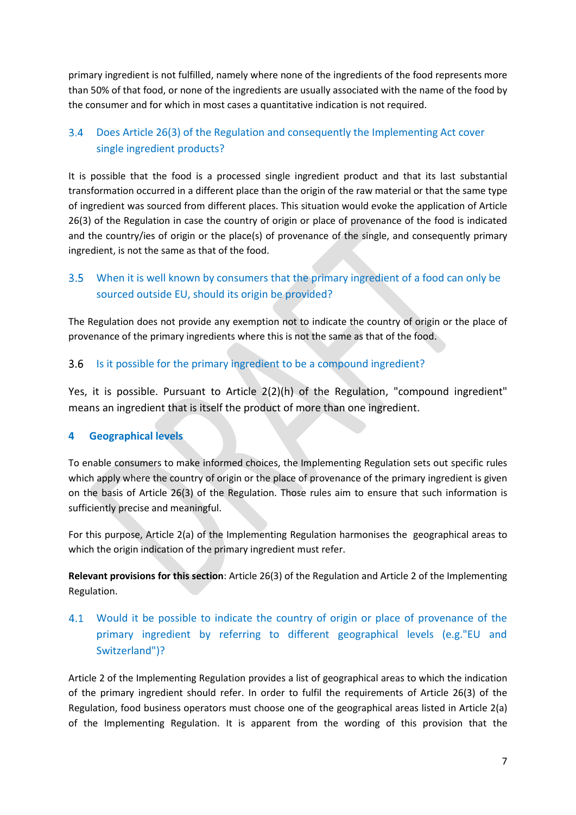primary ingredient is not fulfilled, namely where none of the ingredients of the food represents more than 50% of that food, or none of the ingredients are usually associated with the name of the food by the consumer and for which in most cases a quantitative indication is not required.

### $3.4$ Does Article 26(3) of the Regulation and consequently the Implementing Act cover single ingredient products?

It is possible that the food is a processed single ingredient product and that its last substantial transformation occurred in a different place than the origin of the raw material or that the same type of ingredient was sourced from different places. This situation would evoke the application of Article 26(3) of the Regulation in case the country of origin or place of provenance of the food is indicated and the country/ies of origin or the place(s) of provenance of the single, and consequently primary ingredient, is not the same as that of the food.

### $3.5$ When it is well known by consumers that the primary ingredient of a food can only be sourced outside EU, should its origin be provided?

The Regulation does not provide any exemption not to indicate the country of origin or the place of provenance of the primary ingredients where this is not the same as that of the food.

#### Is it possible for the primary ingredient to be a compound ingredient?  $3.6$

Yes, it is possible. Pursuant to Article 2(2)(h) of the Regulation, "compound ingredient" means an ingredient that is itself the product of more than one ingredient.

## **4 Geographical levels**

To enable consumers to make informed choices, the Implementing Regulation sets out specific rules which apply where the country of origin or the place of provenance of the primary ingredient is given on the basis of Article 26(3) of the Regulation. Those rules aim to ensure that such information is sufficiently precise and meaningful.

For this purpose, Article 2(a) of the Implementing Regulation harmonises the geographical areas to which the origin indication of the primary ingredient must refer.

**Relevant provisions for this section**: Article 26(3) of the Regulation and Article 2 of the Implementing Regulation.

## 4.1 Would it be possible to indicate the country of origin or place of provenance of the primary ingredient by referring to different geographical levels (e.g."EU and Switzerland")?

Article 2 of the Implementing Regulation provides a list of geographical areas to which the indication of the primary ingredient should refer. In order to fulfil the requirements of Article 26(3) of the Regulation, food business operators must choose one of the geographical areas listed in Article 2(a) of the Implementing Regulation. It is apparent from the wording of this provision that the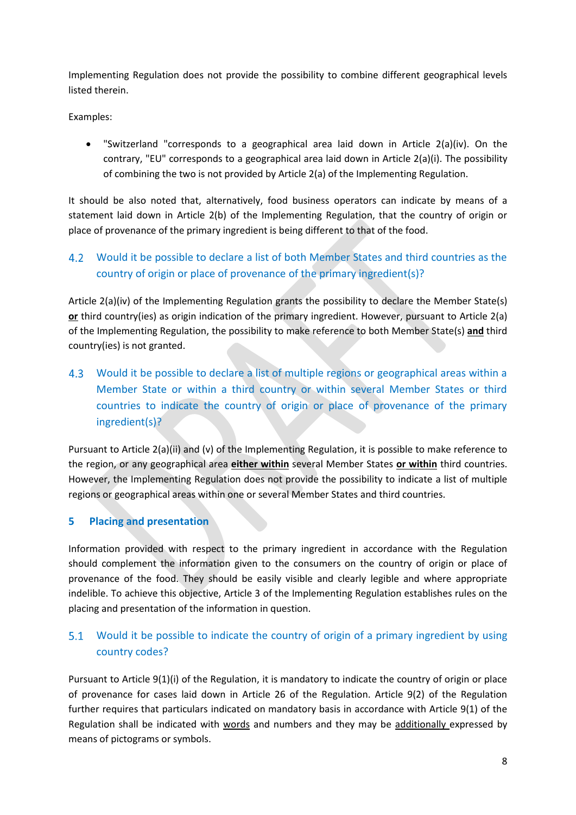Implementing Regulation does not provide the possibility to combine different geographical levels listed therein.

Examples:

 "Switzerland "corresponds to a geographical area laid down in Article 2(a)(iv). On the contrary, "EU" corresponds to a geographical area laid down in Article 2(a)(i). The possibility of combining the two is not provided by Article 2(a) of the Implementing Regulation.

It should be also noted that, alternatively, food business operators can indicate by means of a statement laid down in Article 2(b) of the Implementing Regulation, that the country of origin or place of provenance of the primary ingredient is being different to that of the food.

#### $4.2$ Would it be possible to declare a list of both Member States and third countries as the country of origin or place of provenance of the primary ingredient(s)?

Article 2(a)(iv) of the Implementing Regulation grants the possibility to declare the Member State(s) **or** third country(ies) as origin indication of the primary ingredient. However, pursuant to Article 2(a) of the Implementing Regulation, the possibility to make reference to both Member State(s) **and** third country(ies) is not granted.

Would it be possible to declare a list of multiple regions or geographical areas within a Member State or within a third country or within several Member States or third countries to indicate the country of origin or place of provenance of the primary ingredient(s)?

Pursuant to Article 2(a)(ii) and (v) of the Implementing Regulation, it is possible to make reference to the region, or any geographical area **either within** several Member States **or within** third countries. However, the Implementing Regulation does not provide the possibility to indicate a list of multiple regions or geographical areas within one or several Member States and third countries.

## **5 Placing and presentation**

Information provided with respect to the primary ingredient in accordance with the Regulation should complement the information given to the consumers on the country of origin or place of provenance of the food. They should be easily visible and clearly legible and where appropriate indelible. To achieve this objective, Article 3 of the Implementing Regulation establishes rules on the placing and presentation of the information in question.

# 5.1 Would it be possible to indicate the country of origin of a primary ingredient by using country codes?

Pursuant to Article 9(1)(i) of the Regulation, it is mandatory to indicate the country of origin or place of provenance for cases laid down in Article 26 of the Regulation. Article 9(2) of the Regulation further requires that particulars indicated on mandatory basis in accordance with Article 9(1) of the Regulation shall be indicated with words and numbers and they may be additionally expressed by means of pictograms or symbols.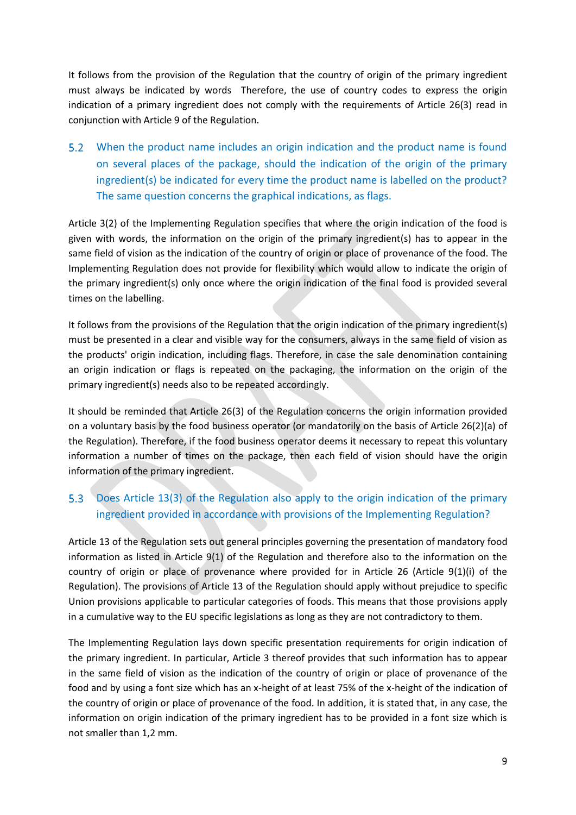It follows from the provision of the Regulation that the country of origin of the primary ingredient must always be indicated by words Therefore, the use of country codes to express the origin indication of a primary ingredient does not comply with the requirements of Article 26(3) read in conjunction with Article 9 of the Regulation.

When the product name includes an origin indication and the product name is found on several places of the package, should the indication of the origin of the primary ingredient(s) be indicated for every time the product name is labelled on the product? The same question concerns the graphical indications, as flags.

Article 3(2) of the Implementing Regulation specifies that where the origin indication of the food is given with words, the information on the origin of the primary ingredient(s) has to appear in the same field of vision as the indication of the country of origin or place of provenance of the food. The Implementing Regulation does not provide for flexibility which would allow to indicate the origin of the primary ingredient(s) only once where the origin indication of the final food is provided several times on the labelling.

It follows from the provisions of the Regulation that the origin indication of the primary ingredient(s) must be presented in a clear and visible way for the consumers, always in the same field of vision as the products' origin indication, including flags. Therefore, in case the sale denomination containing an origin indication or flags is repeated on the packaging, the information on the origin of the primary ingredient(s) needs also to be repeated accordingly.

It should be reminded that Article 26(3) of the Regulation concerns the origin information provided on a voluntary basis by the food business operator (or mandatorily on the basis of Article 26(2)(a) of the Regulation). Therefore, if the food business operator deems it necessary to repeat this voluntary information a number of times on the package, then each field of vision should have the origin information of the primary ingredient.

### $5.3$ Does Article 13(3) of the Regulation also apply to the origin indication of the primary ingredient provided in accordance with provisions of the Implementing Regulation?

Article 13 of the Regulation sets out general principles governing the presentation of mandatory food information as listed in Article 9(1) of the Regulation and therefore also to the information on the country of origin or place of provenance where provided for in Article 26 (Article 9(1)(i) of the Regulation). The provisions of Article 13 of the Regulation should apply without prejudice to specific Union provisions applicable to particular categories of foods. This means that those provisions apply in a cumulative way to the EU specific legislations as long as they are not contradictory to them.

The Implementing Regulation lays down specific presentation requirements for origin indication of the primary ingredient. In particular, Article 3 thereof provides that such information has to appear in the same field of vision as the indication of the country of origin or place of provenance of the food and by using a font size which has an x-height of at least 75% of the x-height of the indication of the country of origin or place of provenance of the food. In addition, it is stated that, in any case, the information on origin indication of the primary ingredient has to be provided in a font size which is not smaller than 1,2 mm.